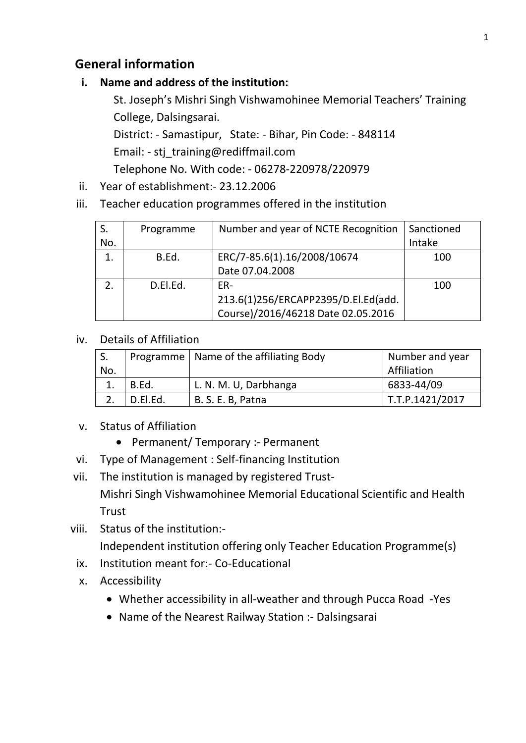# **General information**

#### **i. Name and address of the institution:**

St. Joseph's Mishri Singh Vishwamohinee Memorial Teachers' Training College, Dalsingsarai.

District: - Samastipur, State: - Bihar, Pin Code: - 848114 Email: - stj\_training@rediffmail.com

Telephone No. With code: - 06278-220978/220979

- ii. Year of establishment:- 23.12.2006
- iii. Teacher education programmes offered in the institution

|     | Programme | Number and year of NCTE Recognition | Sanctioned |
|-----|-----------|-------------------------------------|------------|
| No. |           |                                     | Intake     |
| 1.  | B.Ed.     | ERC/7-85.6(1).16/2008/10674         | 100        |
|     |           | Date 07.04.2008                     |            |
| 2.  | D.El.Ed.  | FR-                                 | 100        |
|     |           | 213.6(1)256/ERCAPP2395/D.El.Ed(add. |            |
|     |           | Course)/2016/46218 Date 02.05.2016  |            |

#### iv. Details of Affiliation

|     |          | Programme   Name of the affiliating Body | Number and year        |
|-----|----------|------------------------------------------|------------------------|
| No. |          |                                          | Affiliation            |
|     | B.Ed.    | L. N. M. U, Darbhanga                    | 6833-44/09             |
|     | D.El.Ed. | B. S. E. B, Patna                        | $\mid$ T.T.P.1421/2017 |

- v. Status of Affiliation
	- Permanent/ Temporary :- Permanent
- vi. Type of Management : Self-financing Institution
- vii. The institution is managed by registered Trust-Mishri Singh Vishwamohinee Memorial Educational Scientific and Health **Trust**
- viii. Status of the institution:- Independent institution offering only Teacher Education Programme(s)
	- ix. Institution meant for:- Co-Educational
	- x. Accessibility
		- Whether accessibility in all-weather and through Pucca Road -Yes
		- Name of the Nearest Railway Station :- Dalsingsarai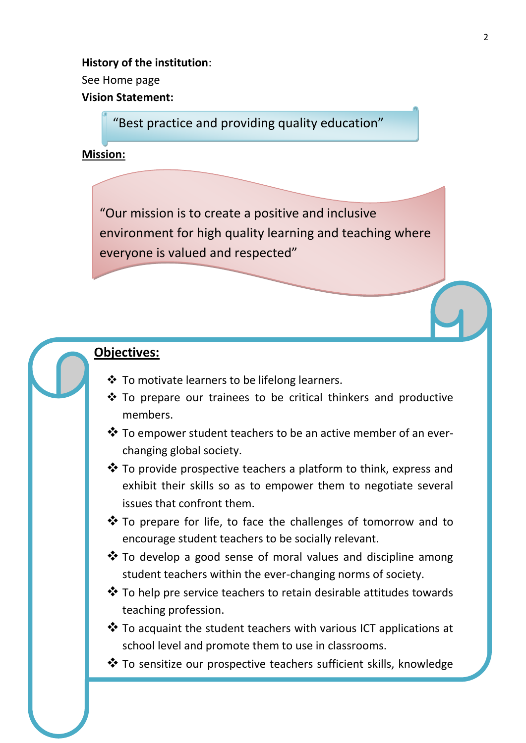**History of the institution**: See Home page **Vision Statement:**

"Best practice and providing quality education"

**Mission:**

"Our mission is to create a positive and inclusive environment for high quality learning and teaching where everyone is valued and respected"

# **Objectives:**

- $\div$  To motivate learners to be lifelong learners.
- $\cdot$  To prepare our trainees to be critical thinkers and productive members.
- $\clubsuit$  To empower student teachers to be an active member of an everchanging global society.
- $\clubsuit$  To provide prospective teachers a platform to think, express and exhibit their skills so as to empower them to negotiate several issues that confront them.
- ❖ To prepare for life, to face the challenges of tomorrow and to encourage student teachers to be socially relevant.
- $\clubsuit$  To develop a good sense of moral values and discipline among student teachers within the ever-changing norms of society.
- $\clubsuit$  To help pre service teachers to retain desirable attitudes towards teaching profession.
- $\clubsuit$  To acquaint the student teachers with various ICT applications at school level and promote them to use in classrooms.
- To sensitize our prospective teachers sufficient skills, knowledge

and at time to meet the challenges of the society. The society  $\alpha$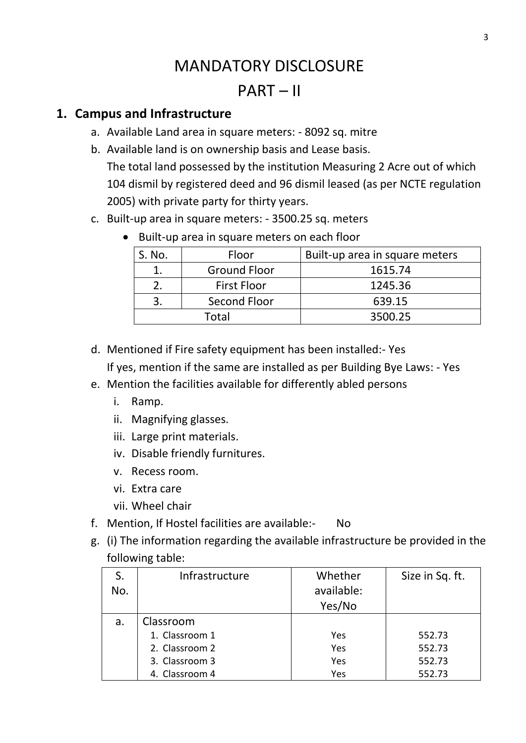# MANDATORY DISCLOSURE

# PART – II

# **1. Campus and Infrastructure**

- a. Available Land area in square meters: 8092 sq. mitre
- b. Available land is on ownership basis and Lease basis. The total land possessed by the institution Measuring 2 Acre out of which 104 dismil by registered deed and 96 dismil leased (as per NCTE regulation 2005) with private party for thirty years.
- c. Built-up area in square meters: 3500.25 sq. meters
	- Built-up area in square meters on each floor

| S. No. | Floor               | Built-up area in square meters |
|--------|---------------------|--------------------------------|
|        | <b>Ground Floor</b> | 1615.74                        |
|        | <b>First Floor</b>  | 1245.36                        |
|        | Second Floor        | 639.15                         |
|        | Total               | 3500.25                        |

- d. Mentioned if Fire safety equipment has been installed:- Yes If yes, mention if the same are installed as per Building Bye Laws: - Yes
- e. Mention the facilities available for differently abled persons
	- i. Ramp.
	- ii. Magnifying glasses.
	- iii. Large print materials.
	- iv. Disable friendly furnitures.
	- v. Recess room.
	- vi. Extra care
	- vii. Wheel chair
- f. Mention, If Hostel facilities are available:- No
- g. (i) The information regarding the available infrastructure be provided in the following table:

|     | Infrastructure | Whether    | Size in Sq. ft. |
|-----|----------------|------------|-----------------|
| No. |                | available: |                 |
|     |                | Yes/No     |                 |
| a.  | Classroom      |            |                 |
|     | 1. Classroom 1 | Yes        | 552.73          |
|     | 2. Classroom 2 | Yes        | 552.73          |
|     | 3. Classroom 3 | Yes        | 552.73          |
|     | 4. Classroom 4 | Yes        | 552.73          |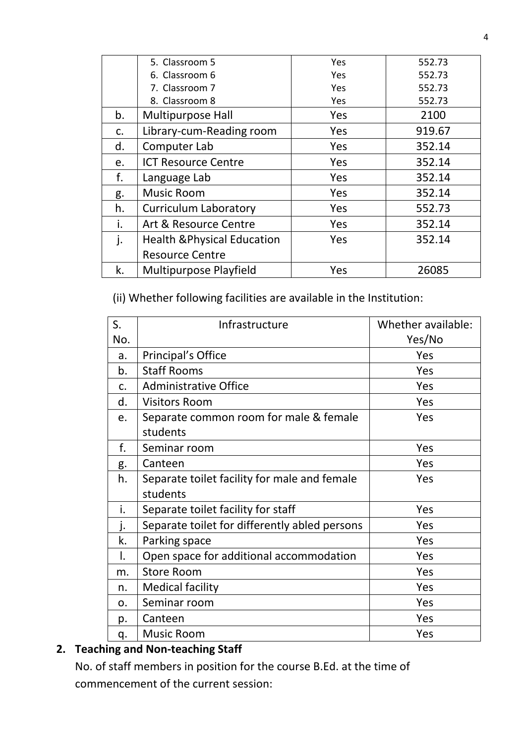|    | 5. Classroom 5                         | Yes        | 552.73 |
|----|----------------------------------------|------------|--------|
|    | 6. Classroom 6                         | Yes        | 552.73 |
|    | 7. Classroom 7                         | Yes        | 552.73 |
|    | 8. Classroom 8                         | <b>Yes</b> | 552.73 |
| b. | <b>Multipurpose Hall</b>               | Yes        | 2100   |
| c. | Library-cum-Reading room               | Yes        | 919.67 |
| d. | Computer Lab                           | Yes        | 352.14 |
| e. | <b>ICT Resource Centre</b>             | Yes        | 352.14 |
| f. | Language Lab                           | Yes        | 352.14 |
| g. | <b>Music Room</b>                      | Yes        | 352.14 |
| h. | <b>Curriculum Laboratory</b>           | Yes        | 552.73 |
| i. | Art & Resource Centre                  | Yes        | 352.14 |
| j. | <b>Health &amp; Physical Education</b> | Yes        | 352.14 |
|    | <b>Resource Centre</b>                 |            |        |
| k. | Multipurpose Playfield                 | Yes        | 26085  |

(ii) Whether following facilities are available in the Institution:

| S.         | Infrastructure                                | Whether available: |
|------------|-----------------------------------------------|--------------------|
| No.        |                                               | Yes/No             |
| a.         | Principal's Office                            | Yes                |
| b.         | <b>Staff Rooms</b>                            | Yes                |
| C.         | <b>Administrative Office</b>                  | Yes                |
| d.         | <b>Visitors Room</b>                          | Yes                |
| e.         | Separate common room for male & female        | Yes                |
|            | students                                      |                    |
| f.         | Seminar room                                  | Yes                |
| g.         | Canteen                                       | Yes                |
| h.         | Separate toilet facility for male and female  | Yes                |
|            | students                                      |                    |
| i.         | Separate toilet facility for staff            | Yes                |
| j.         | Separate toilet for differently abled persons | Yes                |
| k.         | Parking space                                 | Yes                |
| Ι.         | Open space for additional accommodation       | Yes                |
| m.         | <b>Store Room</b>                             | Yes                |
| n.         | <b>Medical facility</b>                       | Yes                |
| $\Omega$ . | Seminar room                                  | Yes                |
| p.         | Canteen                                       | Yes                |
| q.         | <b>Music Room</b>                             | Yes                |

# **2. Teaching and Non-teaching Staff**

No. of staff members in position for the course B.Ed. at the time of commencement of the current session: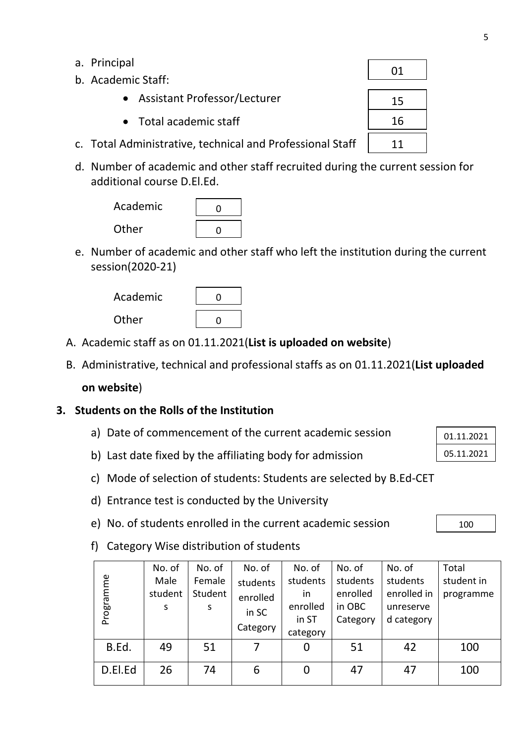- a. Principal
- b. Academic Staff:
	- Assistant Professor/Lecturer
	- Total academic staff
- c. Total Administrative, technical and Professional Staff
- d. Number of academic and other staff recruited during the current session for additional course D.El.Ed.



e. Number of academic and other staff who left the institution during the current session(2020-21)



- A. Academic staff as on 01.11.2021(**List is uploaded on website**)
- B. Administrative, technical and professional staffs as on 01.11.2021(**List uploaded**

#### **on website**)

#### **3. Students on the Rolls of the Institution**

- a) Date of commencement of the current academic session
- b) Last date fixed by the affiliating body for admission
- c) Mode of selection of students: Students are selected by B.Ed-CET
- d) Entrance test is conducted by the University
- e) No. of students enrolled in the current academic session

100

01.11.2021 05.11.2021

f) Category Wise distribution of students

|           | No. of  | No. of  | No. of   | No. of   | No. of   | No. of      | Total      |
|-----------|---------|---------|----------|----------|----------|-------------|------------|
|           | Male    | Female  | students | students | students | students    | student in |
| Programme | student | Student | enrolled | in.      | enrolled | enrolled in | programme  |
|           | S       | S       | in SC    | enrolled | in OBC   | unreserve   |            |
|           |         |         | Category | in ST    | Category | d category  |            |
|           |         |         |          | category |          |             |            |
| B.Ed.     | 49      | 51      | 7        | 0        | 51       | 42          | 100        |
| D.El.Ed   | 26      | 74      | 6        |          | 47       | 47          | 100        |

| 01 |  |
|----|--|
| 15 |  |
| 16 |  |
| 11 |  |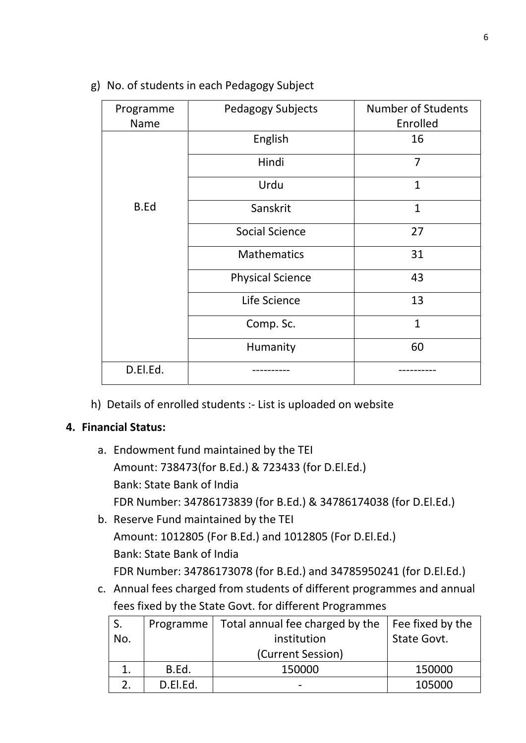| Programme<br><b>Name</b> | <b>Pedagogy Subjects</b> | <b>Number of Students</b><br>Enrolled |
|--------------------------|--------------------------|---------------------------------------|
|                          | English                  | 16                                    |
|                          | Hindi                    | $\overline{7}$                        |
|                          | Urdu                     | $\mathbf{1}$                          |
| <b>B.Ed</b>              | Sanskrit                 | $\mathbf{1}$                          |
|                          | <b>Social Science</b>    | 27                                    |
|                          | <b>Mathematics</b>       | 31                                    |
|                          | <b>Physical Science</b>  | 43                                    |
|                          | Life Science             | 13                                    |
|                          | Comp. Sc.                | $\mathbf{1}$                          |
|                          | Humanity                 | 60                                    |
| D.El.Ed.                 |                          |                                       |

g) No. of students in each Pedagogy Subject

h) Details of enrolled students :- List is uploaded on website

#### **4. Financial Status:**

- a. Endowment fund maintained by the TEI Amount: 738473(for B.Ed.) & 723433 (for D.El.Ed.) Bank: State Bank of India FDR Number: 34786173839 (for B.Ed.) & 34786174038 (for D.El.Ed.)
- b. Reserve Fund maintained by the TEI Amount: 1012805 (For B.Ed.) and 1012805 (For D.El.Ed.) Bank: State Bank of India FDR Number: 34786173078 (for B.Ed.) and 34785950241 (for D.El.Ed.)
- c. Annual fees charged from students of different programmes and annual fees fixed by the State Govt. for different Programmes

| No. |          | Programme   Total annual fee charged by the<br>institution | Fee fixed by the<br>State Govt. |
|-----|----------|------------------------------------------------------------|---------------------------------|
|     |          | (Current Session)                                          |                                 |
|     | B.Ed.    | 150000                                                     | 150000                          |
|     | D.El.Ed. | -                                                          | 105000                          |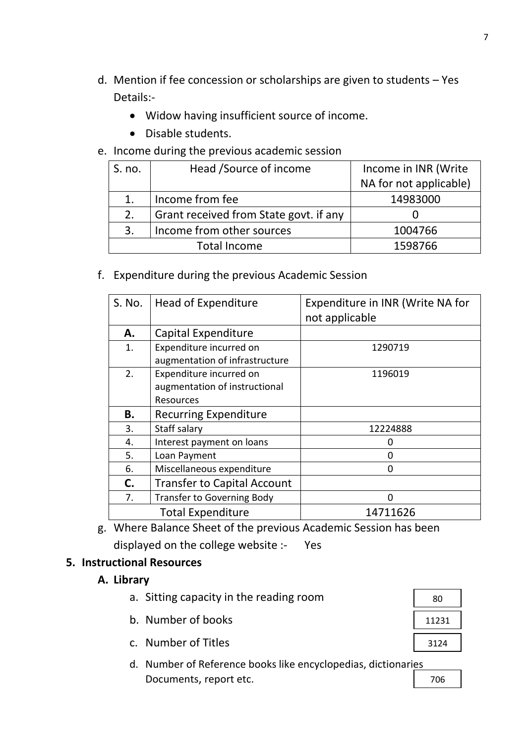- d. Mention if fee concession or scholarships are given to students Yes Details:-
	- Widow having insufficient source of income.
	- Disable students.
- e. Income during the previous academic session

| S. no. | Head /Source of income                 | Income in INR (Write   |
|--------|----------------------------------------|------------------------|
|        |                                        | NA for not applicable) |
| 1.     | Income from fee                        | 14983000               |
| 2.     | Grant received from State govt. if any |                        |
| 3.     | Income from other sources              | 1004766                |
|        | <b>Total Income</b>                    | 1598766                |

f. Expenditure during the previous Academic Session

| S. No. | Head of Expenditure                | Expenditure in INR (Write NA for |
|--------|------------------------------------|----------------------------------|
|        |                                    | not applicable                   |
| А.     | Capital Expenditure                |                                  |
| 1.     | Expenditure incurred on            | 1290719                          |
|        | augmentation of infrastructure     |                                  |
| 2.     | Expenditure incurred on            | 1196019                          |
|        | augmentation of instructional      |                                  |
|        | Resources                          |                                  |
| В.     | <b>Recurring Expenditure</b>       |                                  |
| 3.     | Staff salary                       | 12224888                         |
| 4.     | Interest payment on loans          | O                                |
| 5.     | Loan Payment                       | 0                                |
| 6.     | Miscellaneous expenditure          | 0                                |
| C.     | <b>Transfer to Capital Account</b> |                                  |
| 7.     | <b>Transfer to Governing Body</b>  | $\Omega$                         |
|        | <b>Total Expenditure</b>           | 14711626                         |

g. Where Balance Sheet of the previous Academic Session has been displayed on the college website :- Yes

#### **5. Instructional Resources**

**A. Library**

| a. Sitting capacity in the reading room |  |
|-----------------------------------------|--|
|-----------------------------------------|--|

- b. Number of books
- c. Number of Titles
- d. Number of Reference books like encyclopedias, dictionaries Documents, report etc.

| 80    |
|-------|
| 11231 |
| 3124  |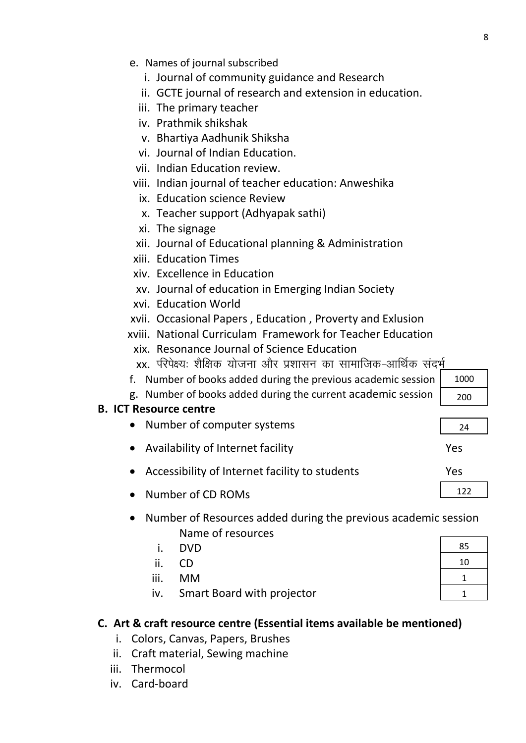1000 200

24

122

- e. Names of journal subscribed
	- i. Journal of community guidance and Research
	- ii. GCTE journal of research and extension in education.
	- iii. The primary teacher
	- iv. Prathmik shikshak
	- v. Bhartiya Aadhunik Shiksha
	- vi. Journal of Indian Education.
	- vii. Indian Education review.
- viii. Indian journal of teacher education: Anweshika
	- ix. Education science Review
	- x. Teacher support (Adhyapak sathi)
	- xi. The signage
- xii. Journal of Educational planning & Administration
- xiii. Education Times
- xiv. Excellence in Education
- xv. Journal of education in Emerging Indian Society
- xvi. Education World
- xvii. Occasional Papers , Education , Proverty and Exlusion
- xviii. National Curriculam Framework for Teacher Education xix. Resonance Journal of Science Education
	- $xx$ . परिपेक्ष्य: शैक्षिक योजना और प्रशासन का सामाजिक-आर्थिक संदर्भ
- f. Number of books added during the previous academic session
- g. Number of books added during the current academic session

# **B. ICT Resource centre**

- Number of computer systems
- Availability of Internet facility Nessetting Availability of Internet facility
- Accessibility of Internet facility to students Theorem Mes
- Number of CD ROMs
- Number of Resources added during the previous academic session Name of resources
	- i. DVD
	- ii. CD
	- iii. MM
	- iv. Smart Board with projector

# **C. Art & craft resource centre (Essential items available be mentioned)**

- i. Colors, Canvas, Papers, Brushes
- ii. Craft material, Sewing machine
- iii. Thermocol
- iv. Card-board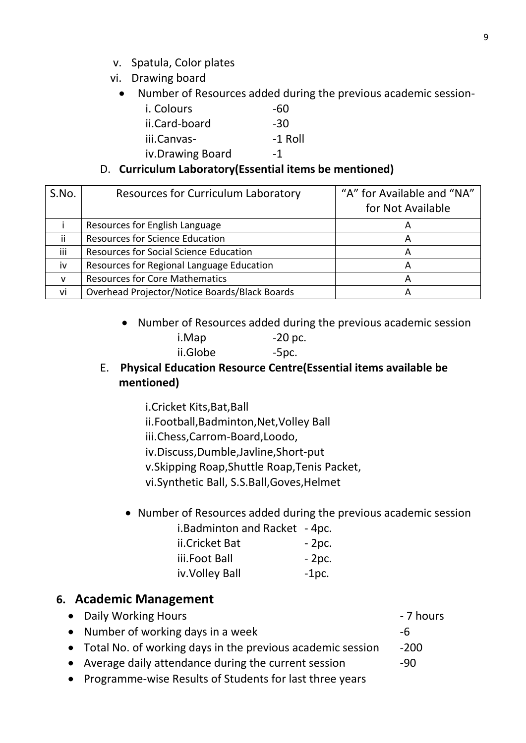- v. Spatula, Color plates
- vi. Drawing board
	- Number of Resources added during the previous academic session-

| <i>i.</i> Colours | -60       |
|-------------------|-----------|
| ii.Card-board     | -30       |
| iii.Canvas-       | $-1$ Roll |
| iv.Drawing Board  | -1        |

#### D. **Curriculum Laboratory(Essential items be mentioned)**

| S.No.        | <b>Resources for Curriculum Laboratory</b>    | "A" for Available and "NA"<br>for Not Available |
|--------------|-----------------------------------------------|-------------------------------------------------|
|              | Resources for English Language                | $\overline{A}$                                  |
| ii           | <b>Resources for Science Education</b>        | A                                               |
| iii          | Resources for Social Science Education        | A                                               |
| iv           | Resources for Regional Language Education     | А                                               |
| $\mathsf{V}$ | <b>Resources for Core Mathematics</b>         | А                                               |
| vi           | Overhead Projector/Notice Boards/Black Boards | А                                               |

Number of Resources added during the previous academic session

| i.Map    | $-20$ pc. |
|----------|-----------|
| ii.Globe | $-5pc.$   |

## E. **Physical Education Resource Centre(Essential items available be mentioned)**

- i.Cricket Kits,Bat,Ball ii.Football,Badminton,Net,Volley Ball iii.Chess,Carrom-Board,Loodo, iv.Discuss,Dumble,Javline,Short-put v.Skipping Roap,Shuttle Roap,Tenis Packet, vi.Synthetic Ball, S.S.Ball,Goves,Helmet
- Number of Resources added during the previous academic session i.Badminton and Racket - 4pc.

| <b>1. Daul IIII LUIT and Nacket - 4 pc.</b> |         |
|---------------------------------------------|---------|
| ii.Cricket Bat                              | $-2pc.$ |
| iii.Foot Ball                               | $-2pc.$ |
| iv. Volley Ball                             | $-1pc.$ |

# **6. Academic Management**

- Daily Working Hours **Communist Communist Communist Communist Communist Communist Communist Communist Communist Communist Communist Communist Communist Communist Communist Communist Communist Communist Communist Communist**
- Number of working days in a week -6
- Total No. of working days in the previous academic session -200
- Average daily attendance during the current session -90
- Programme-wise Results of Students for last three years

9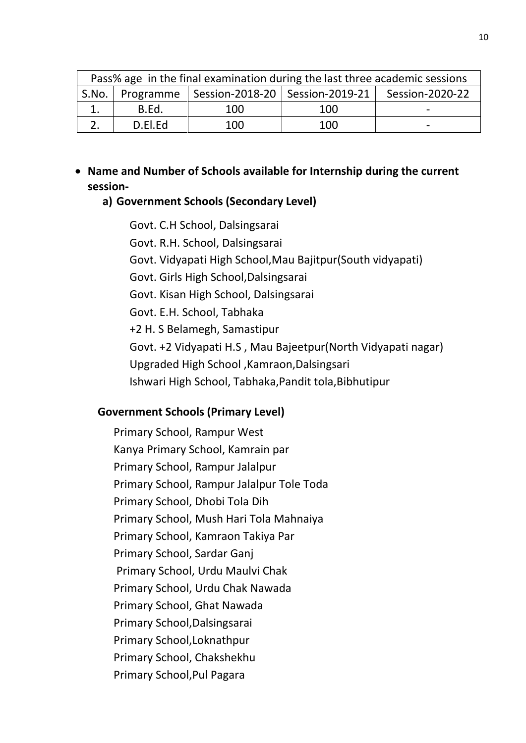| Pass% age in the final examination during the last three academic sessions |         |                                                       |     |                 |
|----------------------------------------------------------------------------|---------|-------------------------------------------------------|-----|-----------------|
|                                                                            |         | S.No.   Programme   Session-2018-20   Session-2019-21 |     | Session-2020-22 |
|                                                                            | B.Ed.   | 100                                                   | 100 | -               |
|                                                                            | D.El.Ed | 100                                                   | 100 | -               |

 **Name and Number of Schools available for Internship during the current session-**

#### **a) Government Schools (Secondary Level)**

Govt. C.H School, Dalsingsarai Govt. R.H. School, Dalsingsarai Govt. Vidyapati High School,Mau Bajitpur(South vidyapati) Govt. Girls High School,Dalsingsarai Govt. Kisan High School, Dalsingsarai Govt. E.H. School, Tabhaka +2 H. S Belamegh, Samastipur Govt. +2 Vidyapati H.S , Mau Bajeetpur(North Vidyapati nagar) Upgraded High School ,Kamraon,Dalsingsari Ishwari High School, Tabhaka,Pandit tola,Bibhutipur

#### **Government Schools (Primary Level)**

Primary School, Rampur West Kanya Primary School, Kamrain par Primary School, Rampur Jalalpur Primary School, Rampur Jalalpur Tole Toda Primary School, Dhobi Tola Dih Primary School, Mush Hari Tola Mahnaiya Primary School, Kamraon Takiya Par Primary School, Sardar Ganj Primary School, Urdu Maulvi Chak Primary School, Urdu Chak Nawada Primary School, Ghat Nawada Primary School,Dalsingsarai Primary School,Loknathpur Primary School, Chakshekhu Primary School,Pul Pagara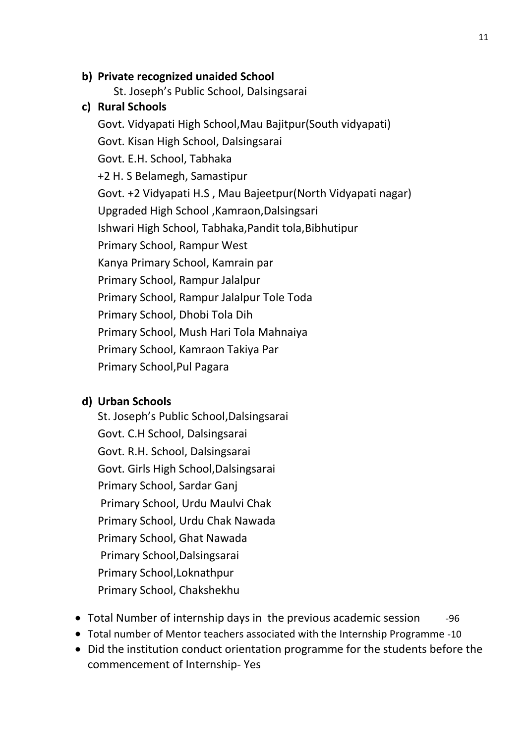#### **b) Private recognized unaided School**

St. Joseph's Public School, Dalsingsarai

#### **c) Rural Schools**

Govt. Vidyapati High School,Mau Bajitpur(South vidyapati) Govt. Kisan High School, Dalsingsarai Govt. E.H. School, Tabhaka +2 H. S Belamegh, Samastipur Govt. +2 Vidyapati H.S , Mau Bajeetpur(North Vidyapati nagar) Upgraded High School ,Kamraon,Dalsingsari Ishwari High School, Tabhaka,Pandit tola,Bibhutipur Primary School, Rampur West Kanya Primary School, Kamrain par Primary School, Rampur Jalalpur Primary School, Rampur Jalalpur Tole Toda Primary School, Dhobi Tola Dih Primary School, Mush Hari Tola Mahnaiya Primary School, Kamraon Takiya Par Primary School,Pul Pagara

#### **d) Urban Schools**

St. Joseph's Public School,Dalsingsarai Govt. C.H School, Dalsingsarai Govt. R.H. School, Dalsingsarai Govt. Girls High School,Dalsingsarai Primary School, Sardar Ganj Primary School, Urdu Maulvi Chak Primary School, Urdu Chak Nawada Primary School, Ghat Nawada Primary School,Dalsingsarai Primary School,Loknathpur Primary School, Chakshekhu

- Total Number of internship days in the previous academic session -96
- Total number of Mentor teachers associated with the Internship Programme -10
- Did the institution conduct orientation programme for the students before the commencement of Internship- Yes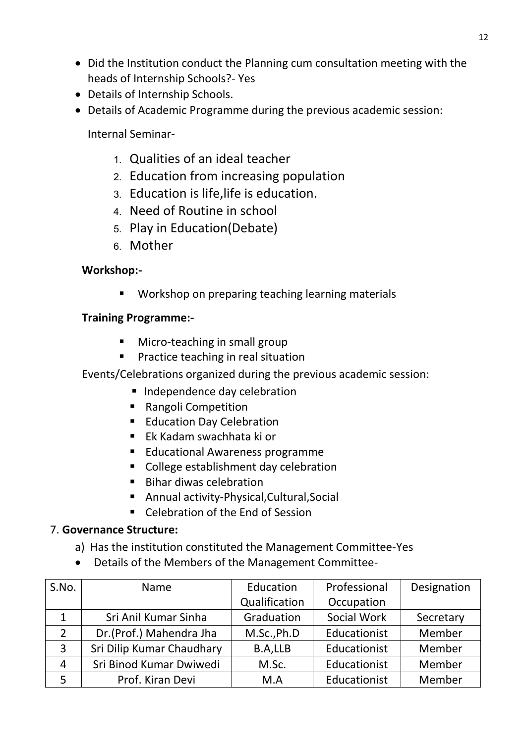- Did the Institution conduct the Planning cum consultation meeting with the heads of Internship Schools?- Yes
- Details of Internship Schools.
- Details of Academic Programme during the previous academic session:

Internal Seminar-

- 1- Qualities of an ideal teacher
- 2- Education from increasing population
- 3- Education is life,life is education.
- 4- Need of Routine in school
- 5- Play in Education(Debate)
- 6- Mother

## **Workshop:-**

**Workshop on preparing teaching learning materials** 

## **Training Programme:-**

- **Micro-teaching in small group**
- **Practice teaching in real situation**

Events/Celebrations organized during the previous academic session:

- **Independence day celebration**
- **Rangoli Competition**
- **Education Day Celebration**
- Ek Kadam swachhata ki or
- **Educational Awareness programme**
- College establishment day celebration
- **Bihar diwas celebration**
- Annual activity-Physical,Cultural,Social
- Celebration of the End of Session

#### 7. **Governance Structure:**

- a) Has the institution constituted the Management Committee-Yes
- Details of the Members of the Management Committee-

| S.No.          | Name                      | Education     | Professional | Designation |
|----------------|---------------------------|---------------|--------------|-------------|
|                |                           | Qualification | Occupation   |             |
| 1              | Sri Anil Kumar Sinha      | Graduation    | Social Work  | Secretary   |
| $\overline{2}$ | Dr.(Prof.) Mahendra Jha   | M.Sc., Ph.D   | Educationist | Member      |
| 3              | Sri Dilip Kumar Chaudhary | B.A,LLB       | Educationist | Member      |
| $\overline{4}$ | Sri Binod Kumar Dwiwedi   | M.Sc.         | Educationist | Member      |
|                | Prof. Kiran Devi          | M.A           | Educationist | Member      |